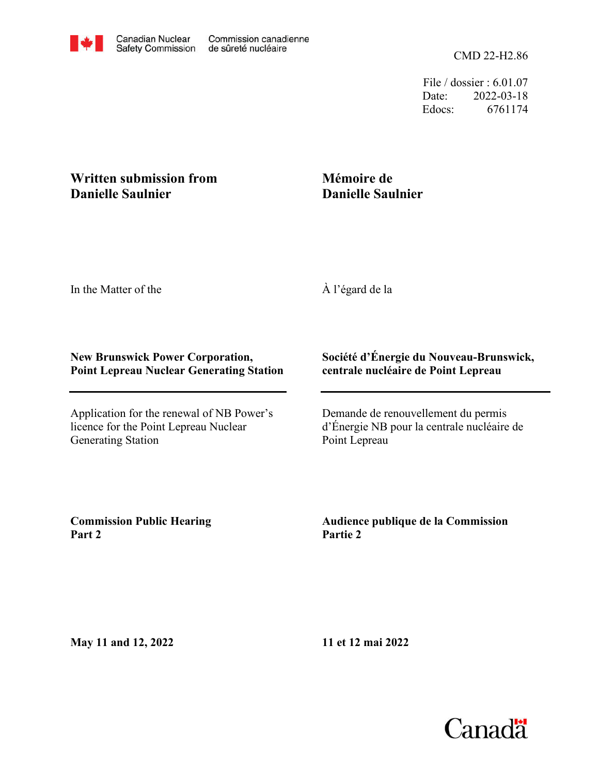CMD 22-H2.86

File / dossier : 6.01.07 Date: 2022-03-18 Edocs: 6761174

## **Written submission from Danielle Saulnier**

## **Mémoire de Danielle Saulnier**

In the Matter of the

À l'égard de la

## **New Brunswick Power Corporation, Point Lepreau Nuclear Generating Station**

Application for the renewal of NB Power's licence for the Point Lepreau Nuclear Generating Station

## **Société d'Énergie du Nouveau-Brunswick, centrale nucléaire de Point Lepreau**

Demande de renouvellement du permis d'Énergie NB pour la centrale nucléaire de Point Lepreau

**Commission Public Hearing Part 2**

**Audience publique de la Commission Partie 2**

**May 11 and 12, 2022**

**11 et 12 mai 2022**